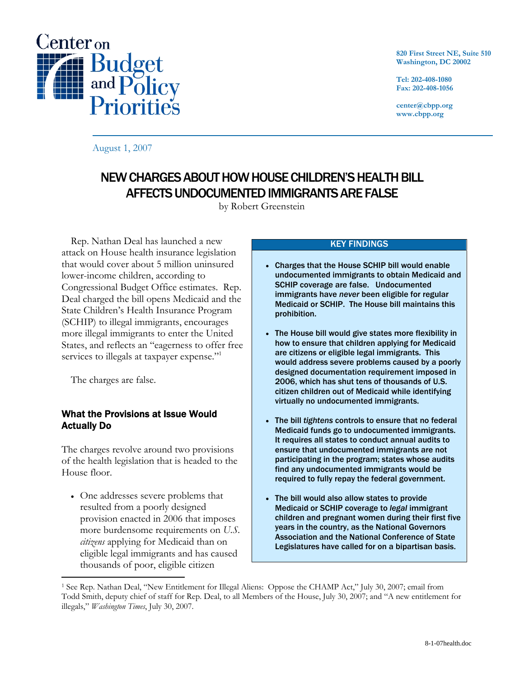

**820 First Street NE, Suite 510 Washington, DC 20002** 

**Tel: 202-408-1080 Fax: 202-408-1056** 

**center@cbpp.org www.cbpp.org** 

August 1, 2007

# NEW CHARGES ABOUT HOW HOUSE CHILDREN'S HEALTH BILL AFFECTS UNDOCUMENTED IMMIGRANTS ARE FALSE

by Robert Greenstein

 Rep. Nathan Deal has launched a new attack on House health insurance legislation that would cover about 5 million uninsured lower-income children, according to Congressional Budget Office estimates. Rep. Deal charged the bill opens Medicaid and the State Children's Health Insurance Program (SCHIP) to illegal immigrants, encourages more illegal immigrants to enter the United States, and reflects an "eagerness to offer free services to illegals at taxpayer expense."<sup>1</sup>

The charges are false.

 $\overline{a}$ 

## What the Provisions at Issue Would Actually Do

The charges revolve around two provisions of the health legislation that is headed to the House floor.

• One addresses severe problems that resulted from a poorly designed provision enacted in 2006 that imposes more burdensome requirements on *U.S. citizens* applying for Medicaid than on eligible legal immigrants and has caused thousands of poor, eligible citizen

## KEY FINDINGS

- Charges that the House SCHIP bill would enable undocumented immigrants to obtain Medicaid and SCHIP coverage are false. Undocumented immigrants have *never* been eligible for regular Medicaid or SCHIP. The House bill maintains this prohibition.
- The House bill would give states more flexibility in how to ensure that children applying for Medicaid are citizens or eligible legal immigrants. This would address severe problems caused by a poorly designed documentation requirement imposed in 2006, which has shut tens of thousands of U.S. citizen children out of Medicaid while identifying virtually no undocumented immigrants.
- The bill *tightens* controls to ensure that no federal Medicaid funds go to undocumented immigrants. It requires all states to conduct annual audits to ensure that undocumented immigrants are not participating in the program; states whose audits find any undocumented immigrants would be required to fully repay the federal government.
- The bill would also allow states to provide Medicaid or SCHIP coverage to *legal* immigrant children and pregnant women during their first five years in the country, as the National Governors Association and the National Conference of State Legislatures have called for on a bipartisan basis.

<sup>1</sup> See Rep. Nathan Deal, "New Entitlement for Illegal Aliens: Oppose the CHAMP Act," July 30, 2007; email from Todd Smith, deputy chief of staff for Rep. Deal, to all Members of the House, July 30, 2007; and "A new entitlement for illegals," *Washington Times*, July 30, 2007.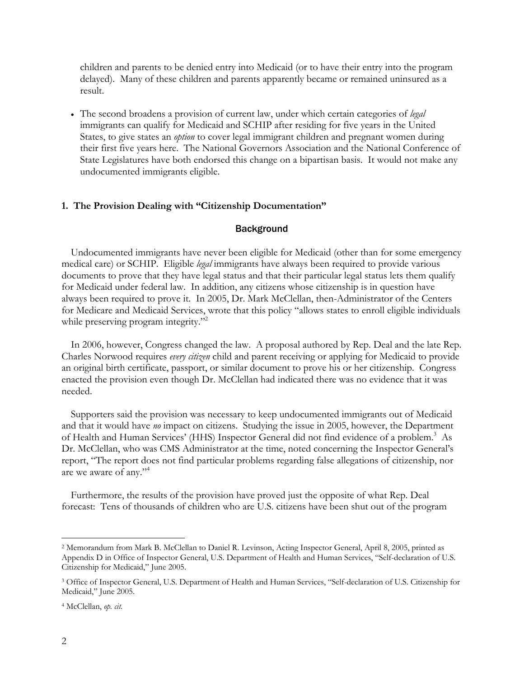children and parents to be denied entry into Medicaid (or to have their entry into the program delayed). Many of these children and parents apparently became or remained uninsured as a result.

• The second broadens a provision of current law, under which certain categories of *legal* immigrants can qualify for Medicaid and SCHIP after residing for five years in the United States, to give states an *option* to cover legal immigrant children and pregnant women during their first five years here. The National Governors Association and the National Conference of State Legislatures have both endorsed this change on a bipartisan basis. It would not make any undocumented immigrants eligible.

#### **1. The Provision Dealing with "Citizenship Documentation"**

#### **Background**

 Undocumented immigrants have never been eligible for Medicaid (other than for some emergency medical care) or SCHIP. Eligible *legal* immigrants have always been required to provide various documents to prove that they have legal status and that their particular legal status lets them qualify for Medicaid under federal law. In addition, any citizens whose citizenship is in question have always been required to prove it. In 2005, Dr. Mark McClellan, then-Administrator of the Centers for Medicare and Medicaid Services, wrote that this policy "allows states to enroll eligible individuals while preserving program integrity."<sup>2</sup>

 In 2006, however, Congress changed the law. A proposal authored by Rep. Deal and the late Rep. Charles Norwood requires *every citizen* child and parent receiving or applying for Medicaid to provide an original birth certificate, passport, or similar document to prove his or her citizenship. Congress enacted the provision even though Dr. McClellan had indicated there was no evidence that it was needed.

 Supporters said the provision was necessary to keep undocumented immigrants out of Medicaid and that it would have *no* impact on citizens. Studying the issue in 2005, however, the Department of Health and Human Services' (HHS) Inspector General did not find evidence of a problem.<sup>3</sup> As Dr. McClellan, who was CMS Administrator at the time, noted concerning the Inspector General's report, "The report does not find particular problems regarding false allegations of citizenship, nor are we aware of any."4

 Furthermore, the results of the provision have proved just the opposite of what Rep. Deal forecast: Tens of thousands of children who are U.S. citizens have been shut out of the program

4 McClellan, *op. cit.*

 $\overline{a}$ 

<sup>2</sup> Memorandum from Mark B. McClellan to Daniel R. Levinson, Acting Inspector General, April 8, 2005, printed as Appendix D in Office of Inspector General, U.S. Department of Health and Human Services, "Self-declaration of U.S. Citizenship for Medicaid," June 2005.

<sup>3</sup> Office of Inspector General, U.S. Department of Health and Human Services, "Self-declaration of U.S. Citizenship for Medicaid," June 2005.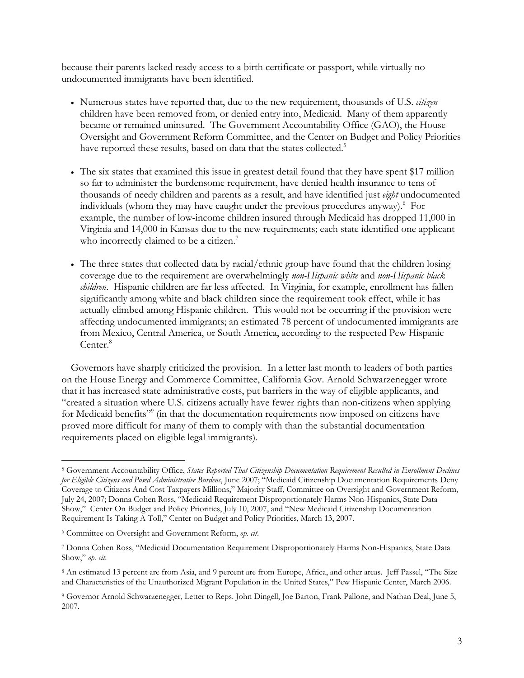because their parents lacked ready access to a birth certificate or passport, while virtually no undocumented immigrants have been identified.

- Numerous states have reported that, due to the new requirement, thousands of U.S. *citizen* children have been removed from, or denied entry into, Medicaid. Many of them apparently became or remained uninsured. The Government Accountability Office (GAO), the House Oversight and Government Reform Committee, and the Center on Budget and Policy Priorities have reported these results, based on data that the states collected.<sup>5</sup>
- The six states that examined this issue in greatest detail found that they have spent \$17 million so far to administer the burdensome requirement, have denied health insurance to tens of thousands of needy children and parents as a result, and have identified just *eight* undocumented individuals (whom they may have caught under the previous procedures anyway). For example, the number of low-income children insured through Medicaid has dropped 11,000 in Virginia and 14,000 in Kansas due to the new requirements; each state identified one applicant who incorrectly claimed to be a citizen.<sup>7</sup>
- The three states that collected data by racial/ethnic group have found that the children losing coverage due to the requirement are overwhelmingly *non-Hispanic white* and *non-Hispanic black children*. Hispanic children are far less affected. In Virginia, for example, enrollment has fallen significantly among white and black children since the requirement took effect, while it has actually climbed among Hispanic children. This would not be occurring if the provision were affecting undocumented immigrants; an estimated 78 percent of undocumented immigrants are from Mexico, Central America, or South America, according to the respected Pew Hispanic Center.<sup>8</sup>

 Governors have sharply criticized the provision. In a letter last month to leaders of both parties on the House Energy and Commerce Committee, California Gov. Arnold Schwarzenegger wrote that it has increased state administrative costs, put barriers in the way of eligible applicants, and "created a situation where U.S. citizens actually have fewer rights than non-citizens when applying for Medicaid benefits"<sup>9</sup> (in that the documentation requirements now imposed on citizens have proved more difficult for many of them to comply with than the substantial documentation requirements placed on eligible legal immigrants).

 $\overline{a}$ 5 Government Accountability Office, *States Reported That Citizenship Documentation Requirement Resulted in Enrollment Declines for Eligible Citizens and Posed Administrative Burdens*, June 2007; "Medicaid Citizenship Documentation Requirements Deny Coverage to Citizens And Cost Taxpayers Millions," Majority Staff, Committee on Oversight and Government Reform, July 24, 2007; Donna Cohen Ross, "Medicaid Requirement Disproportionately Harms Non-Hispanics, State Data Show," Center On Budget and Policy Priorities, July 10, 2007, and "New Medicaid Citizenship Documentation Requirement Is Taking A Toll," Center on Budget and Policy Priorities, March 13, 2007.

<sup>6</sup> Committee on Oversight and Government Reform, *op. cit*.

<sup>7</sup> Donna Cohen Ross, "Medicaid Documentation Requirement Disproportionately Harms Non-Hispanics, State Data Show," *op. cit*.

<sup>8</sup> An estimated 13 percent are from Asia, and 9 percent are from Europe, Africa, and other areas. Jeff Passel, "The Size and Characteristics of the Unauthorized Migrant Population in the United States," Pew Hispanic Center, March 2006.

<sup>9</sup> Governor Arnold Schwarzenegger, Letter to Reps. John Dingell, Joe Barton, Frank Pallone, and Nathan Deal, June 5, 2007.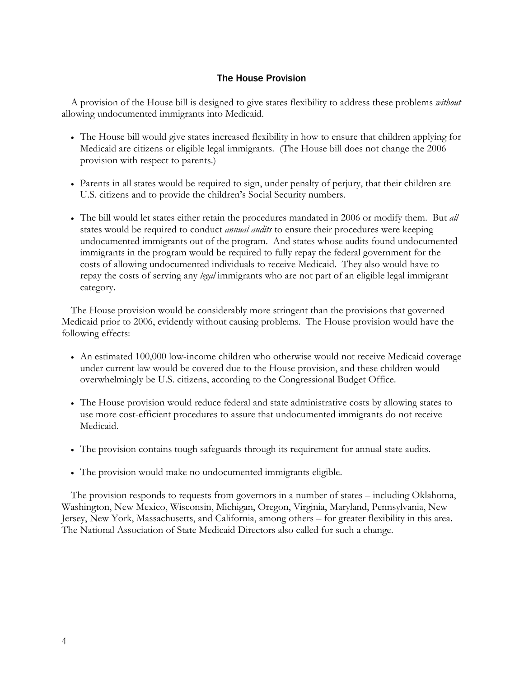# The House Provision

 A provision of the House bill is designed to give states flexibility to address these problems *without*  allowing undocumented immigrants into Medicaid.

- The House bill would give states increased flexibility in how to ensure that children applying for Medicaid are citizens or eligible legal immigrants. (The House bill does not change the 2006 provision with respect to parents.)
- Parents in all states would be required to sign, under penalty of perjury, that their children are U.S. citizens and to provide the children's Social Security numbers.
- The bill would let states either retain the procedures mandated in 2006 or modify them. But *all*  states would be required to conduct *annual audits* to ensure their procedures were keeping undocumented immigrants out of the program. And states whose audits found undocumented immigrants in the program would be required to fully repay the federal government for the costs of allowing undocumented individuals to receive Medicaid. They also would have to repay the costs of serving any *legal* immigrants who are not part of an eligible legal immigrant category.

 The House provision would be considerably more stringent than the provisions that governed Medicaid prior to 2006, evidently without causing problems. The House provision would have the following effects:

- An estimated 100,000 low-income children who otherwise would not receive Medicaid coverage under current law would be covered due to the House provision, and these children would overwhelmingly be U.S. citizens, according to the Congressional Budget Office.
- The House provision would reduce federal and state administrative costs by allowing states to use more cost-efficient procedures to assure that undocumented immigrants do not receive Medicaid.
- The provision contains tough safeguards through its requirement for annual state audits.
- The provision would make no undocumented immigrants eligible.

 The provision responds to requests from governors in a number of states – including Oklahoma, Washington, New Mexico, Wisconsin, Michigan, Oregon, Virginia, Maryland, Pennsylvania, New Jersey, New York, Massachusetts, and California, among others – for greater flexibility in this area. The National Association of State Medicaid Directors also called for such a change.